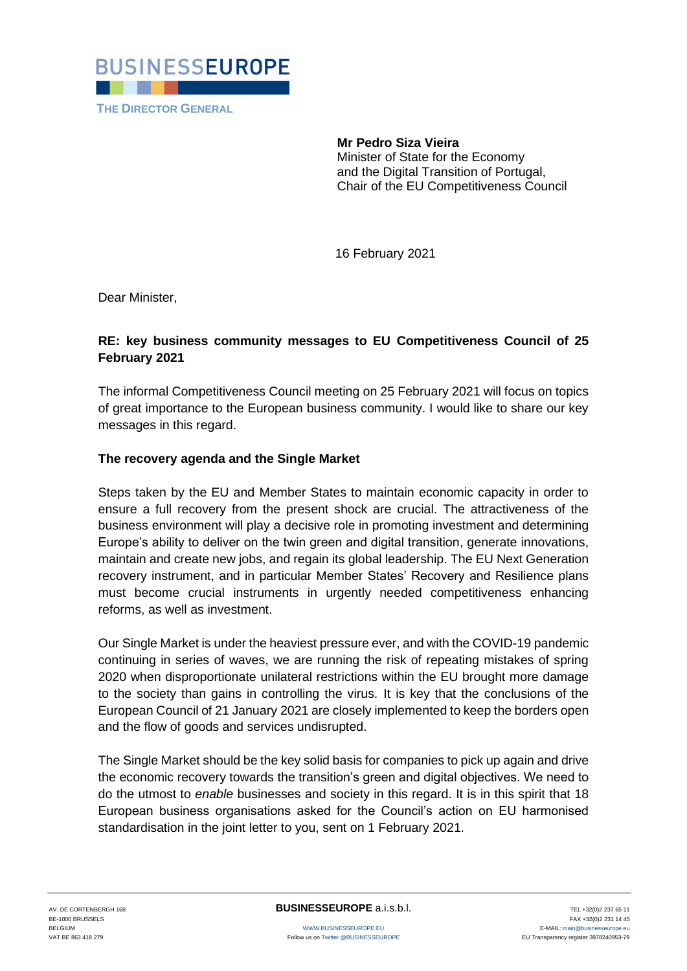

**Mr Pedro Siza Vieira** Minister of State for the Economy and the Digital Transition of Portugal, Chair of the EU Competitiveness Council

16 February 2021

Dear Minister,

## **RE: key business community messages to EU Competitiveness Council of 25 February 2021**

The informal Competitiveness Council meeting on 25 February 2021 will focus on topics of great importance to the European business community. I would like to share our key messages in this regard.

## **The recovery agenda and the Single Market**

Steps taken by the EU and Member States to maintain economic capacity in order to ensure a full recovery from the present shock are crucial. The attractiveness of the business environment will play a decisive role in promoting investment and determining Europe's ability to deliver on the twin green and digital transition, generate innovations, maintain and create new jobs, and regain its global leadership. The EU Next Generation recovery instrument, and in particular Member States' Recovery and Resilience plans must become crucial instruments in urgently needed competitiveness enhancing reforms, as well as investment.

Our Single Market is under the heaviest pressure ever, and with the COVID-19 pandemic continuing in series of waves, we are running the risk of repeating mistakes of spring 2020 when disproportionate unilateral restrictions within the EU brought more damage to the society than gains in controlling the virus. It is key that the conclusions of the European Council of 21 January 2021 are closely implemented to keep the borders open and the flow of goods and services undisrupted.

The Single Market should be the key solid basis for companies to pick up again and drive the economic recovery towards the transition's green and digital objectives. We need to do the utmost to *enable* businesses and society in this regard. It is in this spirit that 18 European business organisations asked for the Council's action on EU harmonised standardisation in the joint letter to you, sent on 1 February 2021.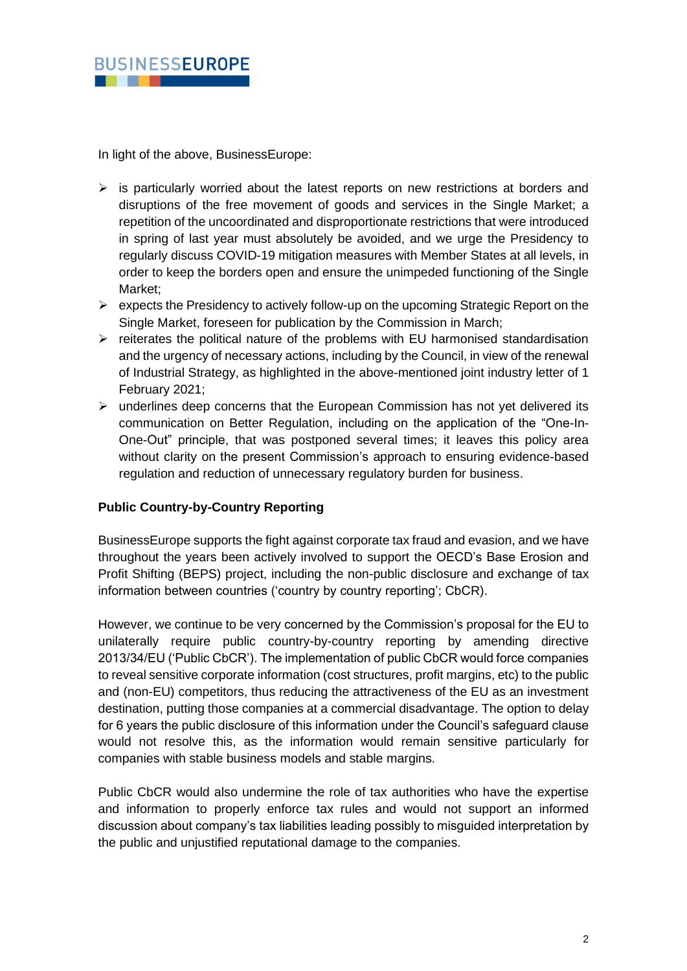

In light of the above, BusinessEurope:

- $\triangleright$  is particularly worried about the latest reports on new restrictions at borders and disruptions of the free movement of goods and services in the Single Market; a repetition of the uncoordinated and disproportionate restrictions that were introduced in spring of last year must absolutely be avoided, and we urge the Presidency to regularly discuss COVID-19 mitigation measures with Member States at all levels, in order to keep the borders open and ensure the unimpeded functioning of the Single Market<sup>-</sup>
- $\triangleright$  expects the Presidency to actively follow-up on the upcoming Strategic Report on the Single Market, foreseen for publication by the Commission in March;
- ➢ reiterates the political nature of the problems with EU harmonised standardisation and the urgency of necessary actions, including by the Council, in view of the renewal of Industrial Strategy, as highlighted in the above-mentioned joint industry letter of 1 February 2021;
- ➢ underlines deep concerns that the European Commission has not yet delivered its communication on Better Regulation, including on the application of the "One-In-One-Out" principle, that was postponed several times; it leaves this policy area without clarity on the present Commission's approach to ensuring evidence-based regulation and reduction of unnecessary regulatory burden for business.

## **Public Country-by-Country Reporting**

BusinessEurope supports the fight against corporate tax fraud and evasion, and we have throughout the years been actively involved to support the OECD's Base Erosion and Profit Shifting (BEPS) project, including the non-public disclosure and exchange of tax information between countries ('country by country reporting'; CbCR).

However, we continue to be very concerned by the Commission's proposal for the EU to unilaterally require public country-by-country reporting by amending directive 2013/34/EU ('Public CbCR'). The implementation of public CbCR would force companies to reveal sensitive corporate information (cost structures, profit margins, etc) to the public and (non-EU) competitors, thus reducing the attractiveness of the EU as an investment destination, putting those companies at a commercial disadvantage. The option to delay for 6 years the public disclosure of this information under the Council's safeguard clause would not resolve this, as the information would remain sensitive particularly for companies with stable business models and stable margins.

Public CbCR would also undermine the role of tax authorities who have the expertise and information to properly enforce tax rules and would not support an informed discussion about company's tax liabilities leading possibly to misguided interpretation by the public and unjustified reputational damage to the companies.